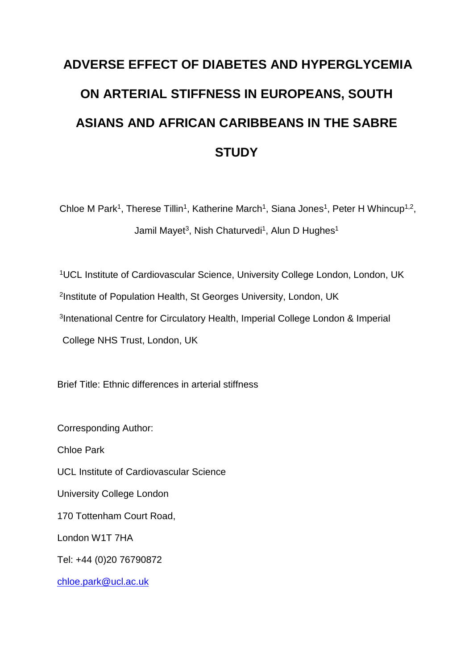# **ADVERSE EFFECT OF DIABETES AND HYPERGLYCEMIA ON ARTERIAL STIFFNESS IN EUROPEANS, SOUTH ASIANS AND AFRICAN CARIBBEANS IN THE SABRE STUDY**

Chloe M Park<sup>1</sup>, Therese Tillin<sup>1</sup>, Katherine March<sup>1</sup>, Siana Jones<sup>1</sup>, Peter H Whincup<sup>1,2</sup>, Jamil Mayet<sup>3</sup>, Nish Chaturvedi<sup>1</sup>, Alun D Hughes<sup>1</sup>

UCL Institute of Cardiovascular Science, University College London, London, UK Institute of Population Health, St Georges University, London, UK Intenational Centre for Circulatory Health, Imperial College London & Imperial College NHS Trust, London, UK

Brief Title: Ethnic differences in arterial stiffness

Corresponding Author: Chloe Park UCL Institute of Cardiovascular Science University College London 170 Tottenham Court Road, London W1T 7HA Tel: +44 (0)20 76790872 chloe.park@ucl.ac.uk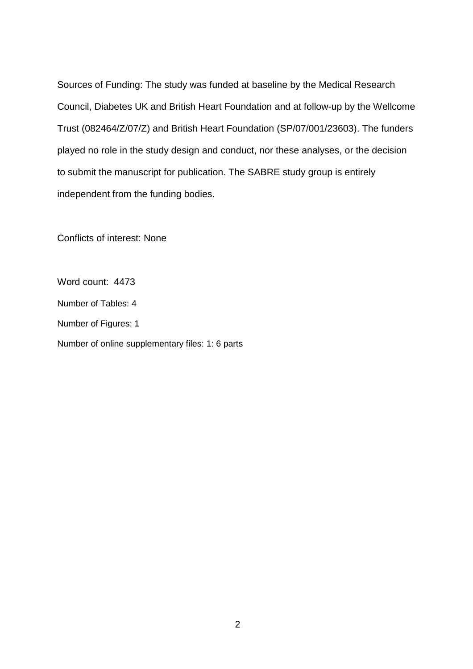Sources of Funding: The study was funded at baseline by the Medical Research Council, Diabetes UK and British Heart Foundation and at follow-up by the Wellcome Trust (082464/Z/07/Z) and British Heart Foundation (SP/07/001/23603). The funders played no role in the study design and conduct, nor these analyses, or the decision to submit the manuscript for publication. The SABRE study group is entirely independent from the funding bodies.

Conflicts of interest: None

Word count: 4473 Number of Tables: 4 Number of Figures: 1 Number of online supplementary files: 1: 6 parts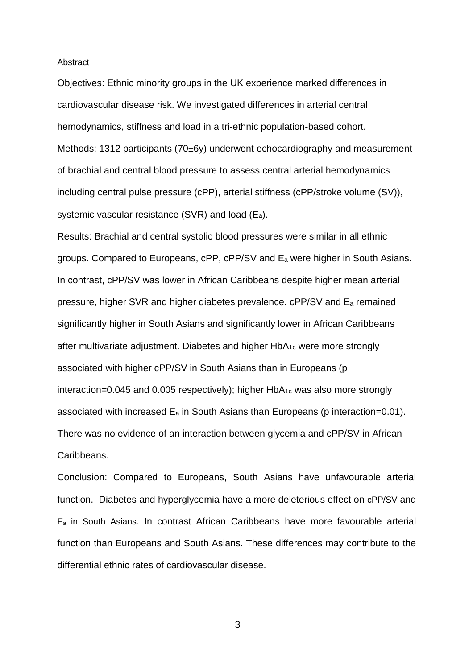#### Abstract

Objectives: Ethnic minority groups in the UK experience marked differences in cardiovascular disease risk. We investigated differences in arterial central hemodynamics, stiffness and load in a tri-ethnic population-based cohort. Methods: 1312 participants (70±6y) underwent echocardiography and measurement of brachial and central blood pressure to assess central arterial hemodynamics including central pulse pressure (cPP), arterial stiffness (cPP/stroke volume (SV)), systemic vascular resistance (SVR) and load (Ea).

Results: Brachial and central systolic blood pressures were similar in all ethnic groups. Compared to Europeans, cPP, cPP/SV and E<sup>a</sup> were higher in South Asians. In contrast, cPP/SV was lower in African Caribbeans despite higher mean arterial pressure, higher SVR and higher diabetes prevalence. cPP/SV and E<sup>a</sup> remained significantly higher in South Asians and significantly lower in African Caribbeans after multivariate adjustment. Diabetes and higher HbA1c were more strongly associated with higher cPP/SV in South Asians than in Europeans (p  $interaction = 0.045$  and 0.005 respectively); higher HbA<sub>1c</sub> was also more strongly associated with increased  $E_a$  in South Asians than Europeans (p interaction=0.01). There was no evidence of an interaction between glycemia and cPP/SV in African Caribbeans.

Conclusion: Compared to Europeans, South Asians have unfavourable arterial function. Diabetes and hyperglycemia have a more deleterious effect on cPP/SV and E<sup>a</sup> in South Asians. In contrast African Caribbeans have more favourable arterial function than Europeans and South Asians. These differences may contribute to the differential ethnic rates of cardiovascular disease.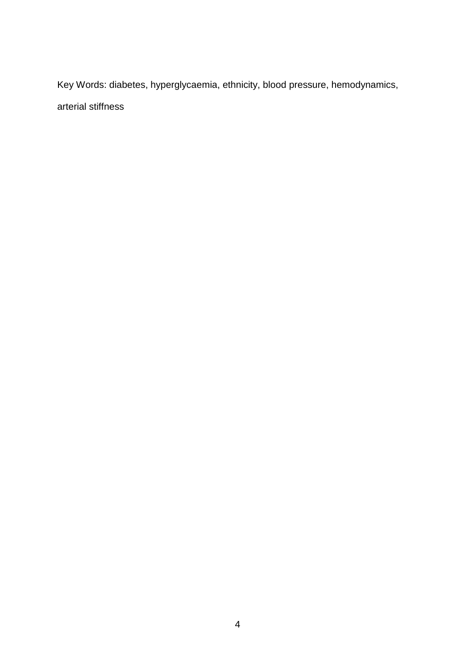Key Words: diabetes, hyperglycaemia, ethnicity, blood pressure, hemodynamics, arterial stiffness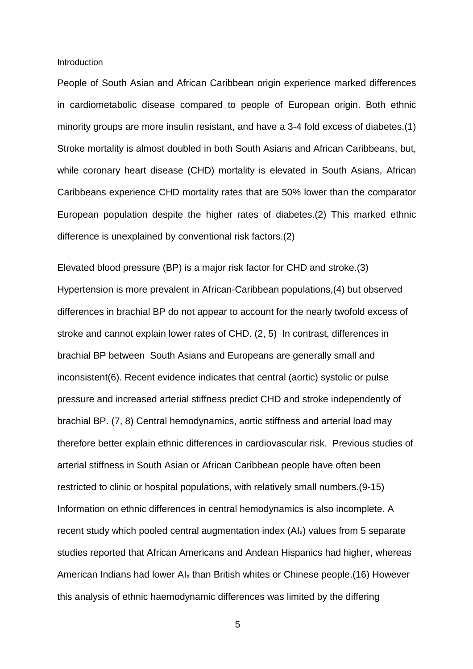Introduction

People of South Asian and African Caribbean origin experience marked differences in cardiometabolic disease compared to people of European origin. Both ethnic minority groups are more insulin resistant, and have a 3-4 fold excess of diabetes.(1) Stroke mortality is almost doubled in both South Asians and African Caribbeans, but, while coronary heart disease (CHD) mortality is elevated in South Asians, African Caribbeans experience CHD mortality rates that are 50% lower than the comparator European population despite the higher rates of diabetes.(2) This marked ethnic difference is unexplained by conventional risk factors.(2)

Elevated blood pressure (BP) is a major risk factor for CHD and stroke.(3) Hypertension is more prevalent in African-Caribbean populations,(4) but observed differences in brachial BP do not appear to account for the nearly twofold excess of stroke and cannot explain lower rates of CHD. (2, 5) In contrast, differences in brachial BP between South Asians and Europeans are generally small and inconsistent(6). Recent evidence indicates that central (aortic) systolic or pulse pressure and increased arterial stiffness predict CHD and stroke independently of brachial BP. (7, 8) Central hemodynamics, aortic stiffness and arterial load may therefore better explain ethnic differences in cardiovascular risk. Previous studies of arterial stiffness in South Asian or African Caribbean people have often been restricted to clinic or hospital populations, with relatively small numbers.(9-15) Information on ethnic differences in central hemodynamics is also incomplete. A recent study which pooled central augmentation index (AI<sub>x</sub>) values from 5 separate studies reported that African Americans and Andean Hispanics had higher, whereas American Indians had lower AI<sup>x</sup> than British whites or Chinese people.(16) However this analysis of ethnic haemodynamic differences was limited by the differing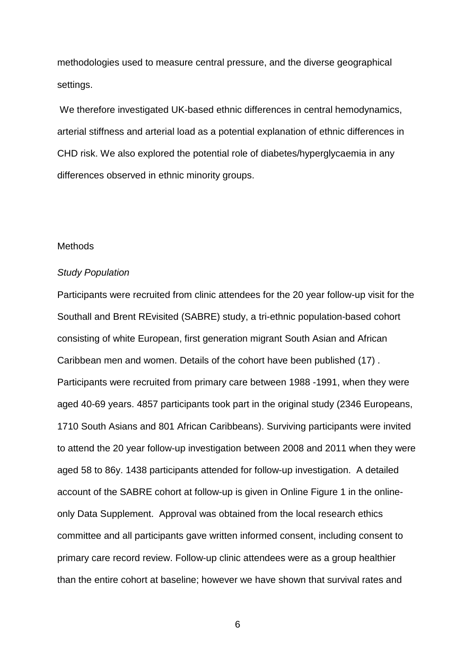methodologies used to measure central pressure, and the diverse geographical settings.

We therefore investigated UK-based ethnic differences in central hemodynamics, arterial stiffness and arterial load as a potential explanation of ethnic differences in CHD risk. We also explored the potential role of diabetes/hyperglycaemia in any differences observed in ethnic minority groups.

## Methods

## *Study Population*

Participants were recruited from clinic attendees for the 20 year follow-up visit for the Southall and Brent REvisited (SABRE) study, a tri-ethnic population-based cohort consisting of white European, first generation migrant South Asian and African Caribbean men and women. Details of the cohort have been published (17) . Participants were recruited from primary care between 1988 -1991, when they were aged 40-69 years. 4857 participants took part in the original study (2346 Europeans, 1710 South Asians and 801 African Caribbeans). Surviving participants were invited to attend the 20 year follow-up investigation between 2008 and 2011 when they were aged 58 to 86y. 1438 participants attended for follow-up investigation. A detailed account of the SABRE cohort at follow-up is given in Online Figure 1 in the onlineonly Data Supplement. Approval was obtained from the local research ethics committee and all participants gave written informed consent, including consent to primary care record review. Follow-up clinic attendees were as a group healthier than the entire cohort at baseline; however we have shown that survival rates and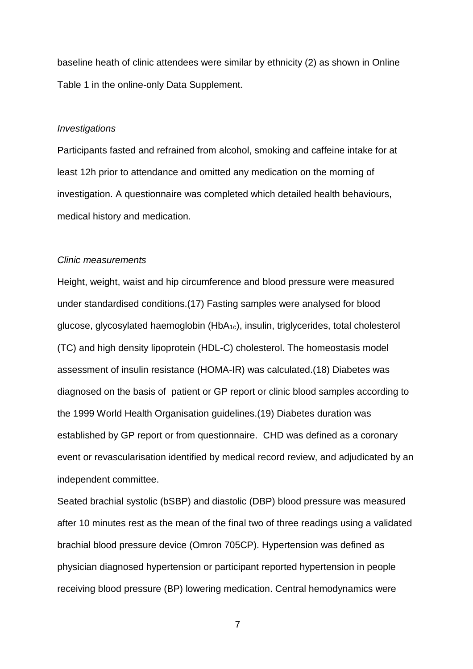baseline heath of clinic attendees were similar by ethnicity (2) as shown in Online Table 1 in the online-only Data Supplement.

# *Investigations*

Participants fasted and refrained from alcohol, smoking and caffeine intake for at least 12h prior to attendance and omitted any medication on the morning of investigation. A questionnaire was completed which detailed health behaviours, medical history and medication.

## *Clinic measurements*

Height, weight, waist and hip circumference and blood pressure were measured under standardised conditions.(17) Fasting samples were analysed for blood glucose, glycosylated haemoglobin (HbA1c), insulin, triglycerides, total cholesterol (TC) and high density lipoprotein (HDL-C) cholesterol. The homeostasis model assessment of insulin resistance (HOMA-IR) was calculated.(18) Diabetes was diagnosed on the basis of patient or GP report or clinic blood samples according to the 1999 World Health Organisation guidelines.(19) Diabetes duration was established by GP report or from questionnaire. CHD was defined as a coronary event or revascularisation identified by medical record review, and adjudicated by an independent committee.

Seated brachial systolic (bSBP) and diastolic (DBP) blood pressure was measured after 10 minutes rest as the mean of the final two of three readings using a validated brachial blood pressure device (Omron 705CP). Hypertension was defined as physician diagnosed hypertension or participant reported hypertension in people receiving blood pressure (BP) lowering medication. Central hemodynamics were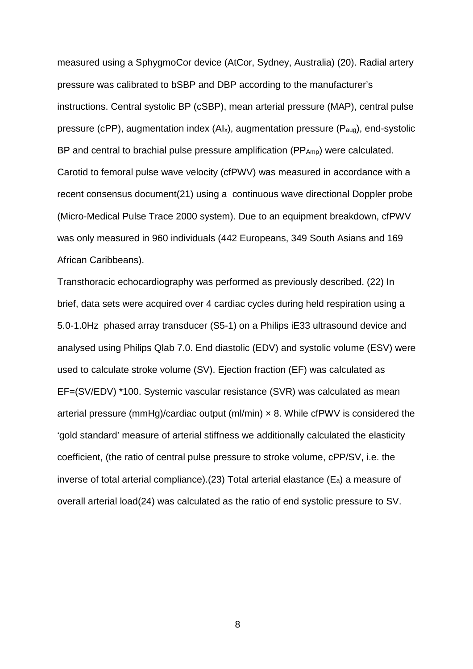measured using a SphygmoCor device (AtCor, Sydney, Australia) (20). Radial artery pressure was calibrated to bSBP and DBP according to the manufacturer's instructions. Central systolic BP (cSBP), mean arterial pressure (MAP), central pulse pressure (cPP), augmentation index (AIx), augmentation pressure (Paug), end-systolic BP and central to brachial pulse pressure amplification (PP<sub>Amp</sub>) were calculated. Carotid to femoral pulse wave velocity (cfPWV) was measured in accordance with a recent consensus document(21) using a continuous wave directional Doppler probe (Micro-Medical Pulse Trace 2000 system). Due to an equipment breakdown, cfPWV was only measured in 960 individuals (442 Europeans, 349 South Asians and 169 African Caribbeans).

Transthoracic echocardiography was performed as previously described. (22) In brief, data sets were acquired over 4 cardiac cycles during held respiration using a 5.0-1.0Hz phased array transducer (S5-1) on a Philips iE33 ultrasound device and analysed using Philips Qlab 7.0. End diastolic (EDV) and systolic volume (ESV) were used to calculate stroke volume (SV). Ejection fraction (EF) was calculated as EF=(SV/EDV) \*100. Systemic vascular resistance (SVR) was calculated as mean arterial pressure (mmHg)/cardiac output (ml/min)  $\times$  8. While cfPWV is considered the 'gold standard' measure of arterial stiffness we additionally calculated the elasticity coefficient, (the ratio of central pulse pressure to stroke volume, cPP/SV, i.e. the inverse of total arterial compliance).(23) Total arterial elastance  $(E_a)$  a measure of overall arterial load(24) was calculated as the ratio of end systolic pressure to SV.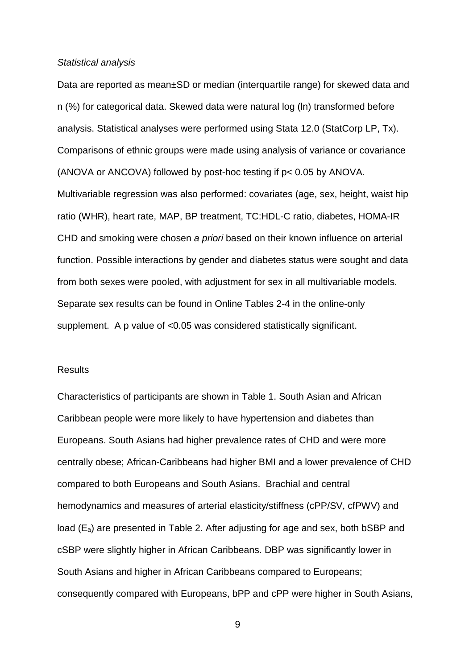## *Statistical analysis*

Data are reported as mean±SD or median (interquartile range) for skewed data and n (%) for categorical data. Skewed data were natural log (ln) transformed before analysis. Statistical analyses were performed using Stata 12.0 (StatCorp LP, Tx). Comparisons of ethnic groups were made using analysis of variance or covariance (ANOVA or ANCOVA) followed by post-hoc testing if p< 0.05 by ANOVA. Multivariable regression was also performed: covariates (age, sex, height, waist hip ratio (WHR), heart rate, MAP, BP treatment, TC:HDL-C ratio, diabetes, HOMA-IR CHD and smoking were chosen *a priori* based on their known influence on arterial function. Possible interactions by gender and diabetes status were sought and data from both sexes were pooled, with adjustment for sex in all multivariable models. Separate sex results can be found in Online Tables 2-4 in the online-only supplement. A p value of <0.05 was considered statistically significant.

# **Results**

Characteristics of participants are shown in Table 1. South Asian and African Caribbean people were more likely to have hypertension and diabetes than Europeans. South Asians had higher prevalence rates of CHD and were more centrally obese; African-Caribbeans had higher BMI and a lower prevalence of CHD compared to both Europeans and South Asians. Brachial and central hemodynamics and measures of arterial elasticity/stiffness (cPP/SV, cfPWV) and load (Ea) are presented in Table 2. After adjusting for age and sex, both bSBP and cSBP were slightly higher in African Caribbeans. DBP was significantly lower in South Asians and higher in African Caribbeans compared to Europeans; consequently compared with Europeans, bPP and cPP were higher in South Asians,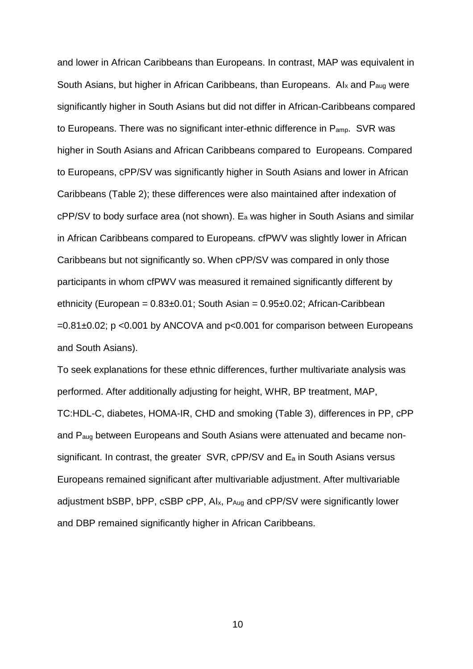and lower in African Caribbeans than Europeans. In contrast, MAP was equivalent in South Asians, but higher in African Caribbeans, than Europeans. Al<sub>x</sub> and P<sub>aug</sub> were significantly higher in South Asians but did not differ in African-Caribbeans compared to Europeans. There was no significant inter-ethnic difference in P<sub>amp</sub>. SVR was higher in South Asians and African Caribbeans compared to Europeans. Compared to Europeans, cPP/SV was significantly higher in South Asians and lower in African Caribbeans (Table 2); these differences were also maintained after indexation of cPP/SV to body surface area (not shown). E<sup>a</sup> was higher in South Asians and similar in African Caribbeans compared to Europeans. cfPWV was slightly lower in African Caribbeans but not significantly so. When cPP/SV was compared in only those participants in whom cfPWV was measured it remained significantly different by ethnicity (European = 0.83±0.01; South Asian = 0.95±0.02; African-Caribbean  $=0.81\pm0.02$ ; p <0.001 by ANCOVA and p <0.001 for comparison between Europeans and South Asians).

To seek explanations for these ethnic differences, further multivariate analysis was performed. After additionally adjusting for height, WHR, BP treatment, MAP, TC:HDL-C, diabetes, HOMA-IR, CHD and smoking (Table 3), differences in PP, cPP and Paug between Europeans and South Asians were attenuated and became nonsignificant. In contrast, the greater SVR, cPP/SV and E<sup>a</sup> in South Asians versus Europeans remained significant after multivariable adjustment. After multivariable adjustment bSBP, bPP, cSBP cPP, AIx, PAug and cPP/SV were significantly lower and DBP remained significantly higher in African Caribbeans.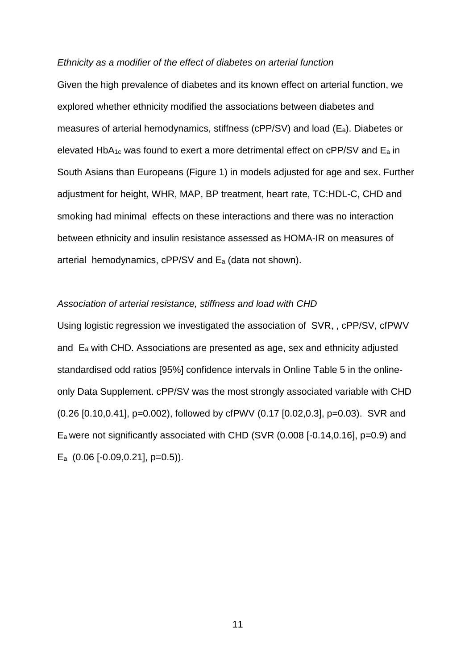#### *Ethnicity as a modifier of the effect of diabetes on arterial function*

Given the high prevalence of diabetes and its known effect on arterial function, we explored whether ethnicity modified the associations between diabetes and measures of arterial hemodynamics, stiffness (cPP/SV) and load (Ea). Diabetes or elevated HbA1c was found to exert a more detrimental effect on cPP/SV and E<sup>a</sup> in South Asians than Europeans (Figure 1) in models adjusted for age and sex. Further adjustment for height, WHR, MAP, BP treatment, heart rate, TC:HDL-C, CHD and smoking had minimal effects on these interactions and there was no interaction between ethnicity and insulin resistance assessed as HOMA-IR on measures of arterial hemodynamics, cPP/SV and E<sup>a</sup> (data not shown).

# *Association of arterial resistance, stiffness and load with CHD*

Using logistic regression we investigated the association of SVR, , cPP/SV, cfPWV and E<sup>a</sup> with CHD. Associations are presented as age, sex and ethnicity adjusted standardised odd ratios [95%] confidence intervals in Online Table 5 in the onlineonly Data Supplement. cPP/SV was the most strongly associated variable with CHD (0.26 [0.10,0.41], p=0.002), followed by cfPWV (0.17 [0.02,0.3], p=0.03). SVR and E<sup>a</sup> were not significantly associated with CHD (SVR (0.008 [-0.14,0.16], p=0.9) and E<sup>a</sup> (0.06 [-0.09,0.21], p=0.5)).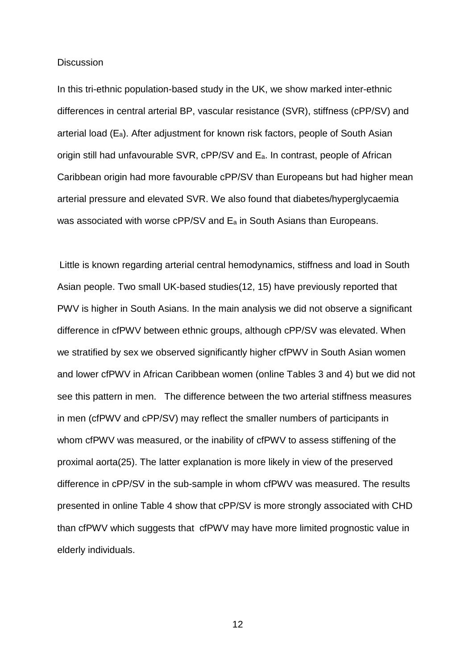#### **Discussion**

In this tri-ethnic population-based study in the UK, we show marked inter-ethnic differences in central arterial BP, vascular resistance (SVR), stiffness (cPP/SV) and arterial load  $(E_a)$ . After adjustment for known risk factors, people of South Asian origin still had unfavourable SVR, cPP/SV and Ea. In contrast, people of African Caribbean origin had more favourable cPP/SV than Europeans but had higher mean arterial pressure and elevated SVR. We also found that diabetes/hyperglycaemia was associated with worse cPP/SV and E<sup>a</sup> in South Asians than Europeans.

Little is known regarding arterial central hemodynamics, stiffness and load in South Asian people. Two small UK-based studies(12, 15) have previously reported that PWV is higher in South Asians. In the main analysis we did not observe a significant difference in cfPWV between ethnic groups, although cPP/SV was elevated. When we stratified by sex we observed significantly higher cfPWV in South Asian women and lower cfPWV in African Caribbean women (online Tables 3 and 4) but we did not see this pattern in men. The difference between the two arterial stiffness measures in men (cfPWV and cPP/SV) may reflect the smaller numbers of participants in whom cfPWV was measured, or the inability of cfPWV to assess stiffening of the proximal aorta(25). The latter explanation is more likely in view of the preserved difference in cPP/SV in the sub-sample in whom cfPWV was measured. The results presented in online Table 4 show that cPP/SV is more strongly associated with CHD than cfPWV which suggests that cfPWV may have more limited prognostic value in elderly individuals.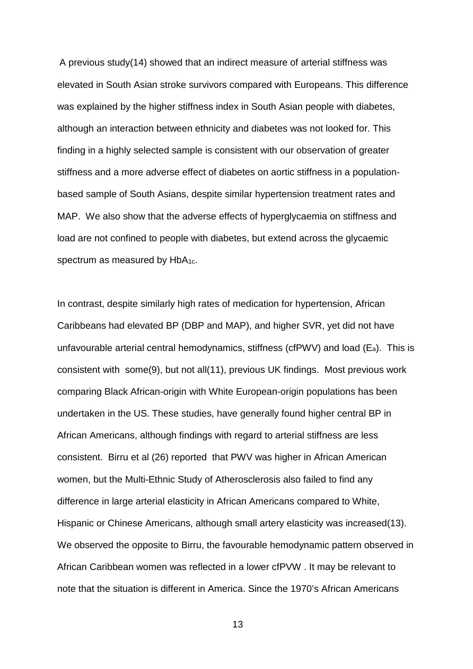A previous study(14) showed that an indirect measure of arterial stiffness was elevated in South Asian stroke survivors compared with Europeans. This difference was explained by the higher stiffness index in South Asian people with diabetes, although an interaction between ethnicity and diabetes was not looked for. This finding in a highly selected sample is consistent with our observation of greater stiffness and a more adverse effect of diabetes on aortic stiffness in a populationbased sample of South Asians, despite similar hypertension treatment rates and MAP. We also show that the adverse effects of hyperglycaemia on stiffness and load are not confined to people with diabetes, but extend across the glycaemic spectrum as measured by HbA<sub>1c</sub>.

In contrast, despite similarly high rates of medication for hypertension, African Caribbeans had elevated BP (DBP and MAP), and higher SVR, yet did not have unfavourable arterial central hemodynamics, stiffness (cfPWV) and load (Ea). This is consistent with some(9), but not all(11), previous UK findings. Most previous work comparing Black African-origin with White European-origin populations has been undertaken in the US. These studies, have generally found higher central BP in African Americans, although findings with regard to arterial stiffness are less consistent. Birru et al (26) reported that PWV was higher in African American women, but the Multi-Ethnic Study of Atherosclerosis also failed to find any difference in large arterial elasticity in African Americans compared to White, Hispanic or Chinese Americans, although small artery elasticity was increased(13). We observed the opposite to Birru, the favourable hemodynamic pattern observed in African Caribbean women was reflected in a lower cfPVW . It may be relevant to note that the situation is different in America. Since the 1970's African Americans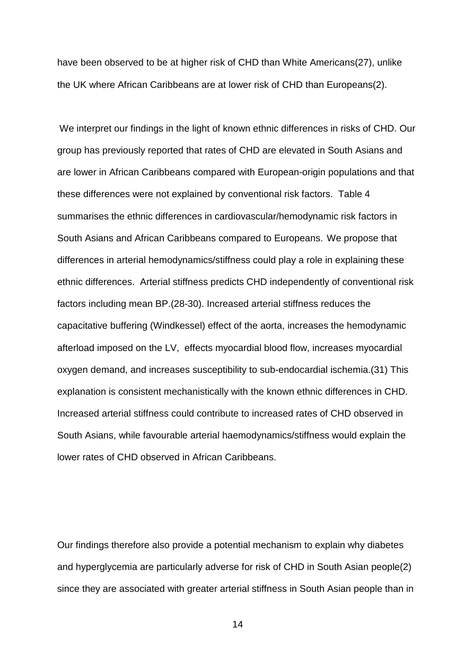have been observed to be at higher risk of CHD than White Americans(27), unlike the UK where African Caribbeans are at lower risk of CHD than Europeans(2).

We interpret our findings in the light of known ethnic differences in risks of CHD. Our group has previously reported that rates of CHD are elevated in South Asians and are lower in African Caribbeans compared with European-origin populations and that these differences were not explained by conventional risk factors. Table 4 summarises the ethnic differences in cardiovascular/hemodynamic risk factors in South Asians and African Caribbeans compared to Europeans. We propose that differences in arterial hemodynamics/stiffness could play a role in explaining these ethnic differences. Arterial stiffness predicts CHD independently of conventional risk factors including mean BP.(28-30). Increased arterial stiffness reduces the capacitative buffering (Windkessel) effect of the aorta, increases the hemodynamic afterload imposed on the LV, effects myocardial blood flow, increases myocardial oxygen demand, and increases susceptibility to sub-endocardial ischemia.(31) This explanation is consistent mechanistically with the known ethnic differences in CHD. Increased arterial stiffness could contribute to increased rates of CHD observed in South Asians, while favourable arterial haemodynamics/stiffness would explain the lower rates of CHD observed in African Caribbeans.

Our findings therefore also provide a potential mechanism to explain why diabetes and hyperglycemia are particularly adverse for risk of CHD in South Asian people(2) since they are associated with greater arterial stiffness in South Asian people than in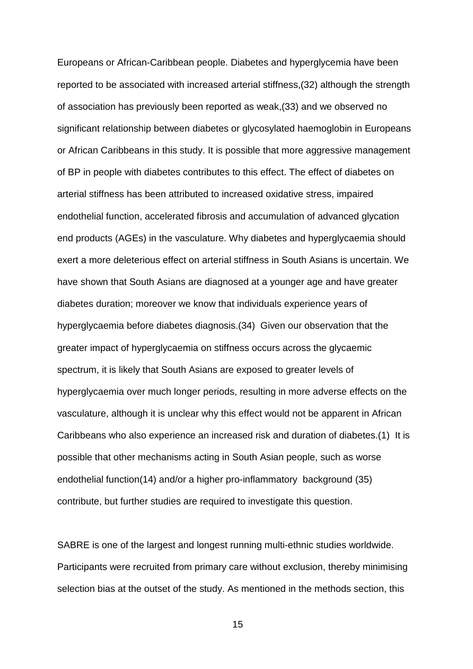Europeans or African-Caribbean people. Diabetes and hyperglycemia have been reported to be associated with increased arterial stiffness,(32) although the strength of association has previously been reported as weak,(33) and we observed no significant relationship between diabetes or glycosylated haemoglobin in Europeans or African Caribbeans in this study. It is possible that more aggressive management of BP in people with diabetes contributes to this effect. The effect of diabetes on arterial stiffness has been attributed to increased oxidative stress, impaired endothelial function, accelerated fibrosis and accumulation of advanced glycation end products (AGEs) in the vasculature. Why diabetes and hyperglycaemia should exert a more deleterious effect on arterial stiffness in South Asians is uncertain. We have shown that South Asians are diagnosed at a younger age and have greater diabetes duration; moreover we know that individuals experience years of hyperglycaemia before diabetes diagnosis.(34) Given our observation that the greater impact of hyperglycaemia on stiffness occurs across the glycaemic spectrum, it is likely that South Asians are exposed to greater levels of hyperglycaemia over much longer periods, resulting in more adverse effects on the vasculature, although it is unclear why this effect would not be apparent in African Caribbeans who also experience an increased risk and duration of diabetes.(1) It is possible that other mechanisms acting in South Asian people, such as worse endothelial function(14) and/or a higher pro-inflammatory background (35) contribute, but further studies are required to investigate this question.

SABRE is one of the largest and longest running multi-ethnic studies worldwide. Participants were recruited from primary care without exclusion, thereby minimising selection bias at the outset of the study. As mentioned in the methods section, this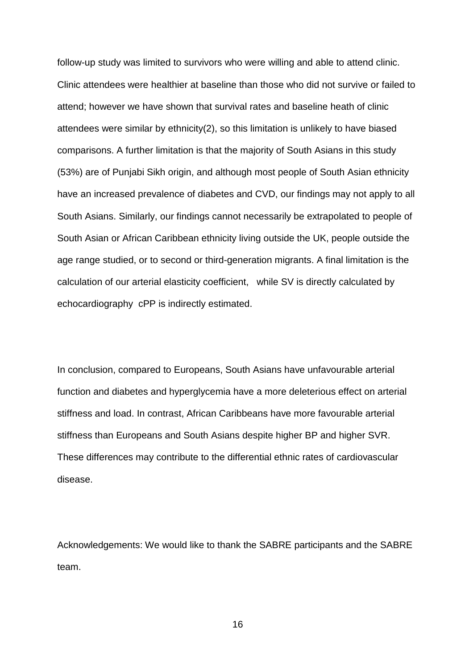follow-up study was limited to survivors who were willing and able to attend clinic. Clinic attendees were healthier at baseline than those who did not survive or failed to attend; however we have shown that survival rates and baseline heath of clinic attendees were similar by ethnicity(2), so this limitation is unlikely to have biased comparisons. A further limitation is that the majority of South Asians in this study (53%) are of Punjabi Sikh origin, and although most people of South Asian ethnicity have an increased prevalence of diabetes and CVD, our findings may not apply to all South Asians. Similarly, our findings cannot necessarily be extrapolated to people of South Asian or African Caribbean ethnicity living outside the UK, people outside the age range studied, or to second or third-generation migrants. A final limitation is the calculation of our arterial elasticity coefficient, while SV is directly calculated by echocardiography cPP is indirectly estimated.

In conclusion, compared to Europeans, South Asians have unfavourable arterial function and diabetes and hyperglycemia have a more deleterious effect on arterial stiffness and load. In contrast, African Caribbeans have more favourable arterial stiffness than Europeans and South Asians despite higher BP and higher SVR. These differences may contribute to the differential ethnic rates of cardiovascular disease.

Acknowledgements: We would like to thank the SABRE participants and the SABRE team.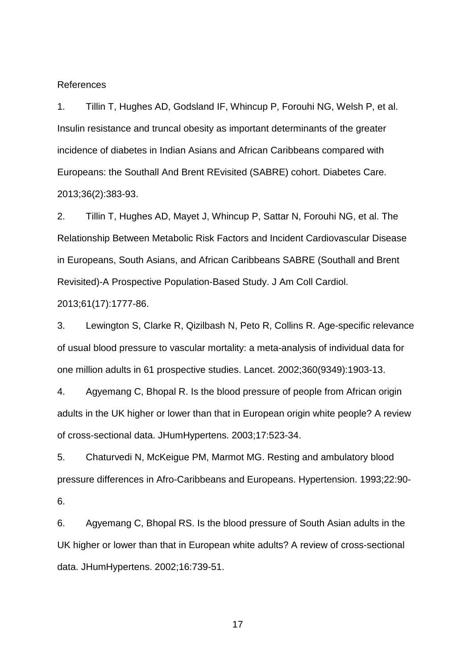References

1. Tillin T, Hughes AD, Godsland IF, Whincup P, Forouhi NG, Welsh P, et al. Insulin resistance and truncal obesity as important determinants of the greater incidence of diabetes in Indian Asians and African Caribbeans compared with Europeans: the Southall And Brent REvisited (SABRE) cohort. Diabetes Care. 2013;36(2):383-93.

2. Tillin T, Hughes AD, Mayet J, Whincup P, Sattar N, Forouhi NG, et al. The Relationship Between Metabolic Risk Factors and Incident Cardiovascular Disease in Europeans, South Asians, and African Caribbeans SABRE (Southall and Brent Revisited)-A Prospective Population-Based Study. J Am Coll Cardiol.

2013;61(17):1777-86.

3. Lewington S, Clarke R, Qizilbash N, Peto R, Collins R. Age-specific relevance of usual blood pressure to vascular mortality: a meta-analysis of individual data for one million adults in 61 prospective studies. Lancet. 2002;360(9349):1903-13.

4. Agyemang C, Bhopal R. Is the blood pressure of people from African origin adults in the UK higher or lower than that in European origin white people? A review of cross-sectional data. JHumHypertens. 2003;17:523-34.

5. Chaturvedi N, McKeigue PM, Marmot MG. Resting and ambulatory blood pressure differences in Afro-Caribbeans and Europeans. Hypertension. 1993;22:90- 6.

6. Agyemang C, Bhopal RS. Is the blood pressure of South Asian adults in the UK higher or lower than that in European white adults? A review of cross-sectional data. JHumHypertens. 2002;16:739-51.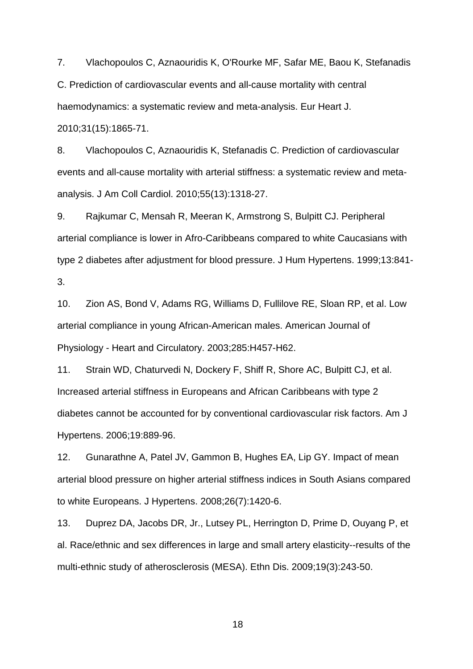7. Vlachopoulos C, Aznaouridis K, O'Rourke MF, Safar ME, Baou K, Stefanadis C. Prediction of cardiovascular events and all-cause mortality with central haemodynamics: a systematic review and meta-analysis. Eur Heart J. 2010;31(15):1865-71.

8. Vlachopoulos C, Aznaouridis K, Stefanadis C. Prediction of cardiovascular events and all-cause mortality with arterial stiffness: a systematic review and metaanalysis. J Am Coll Cardiol. 2010;55(13):1318-27.

9. Rajkumar C, Mensah R, Meeran K, Armstrong S, Bulpitt CJ. Peripheral arterial compliance is lower in Afro-Caribbeans compared to white Caucasians with type 2 diabetes after adjustment for blood pressure. J Hum Hypertens. 1999;13:841- 3.

10. Zion AS, Bond V, Adams RG, Williams D, Fullilove RE, Sloan RP, et al. Low arterial compliance in young African-American males. American Journal of Physiology - Heart and Circulatory. 2003;285:H457-H62.

11. Strain WD, Chaturvedi N, Dockery F, Shiff R, Shore AC, Bulpitt CJ, et al. Increased arterial stiffness in Europeans and African Caribbeans with type 2 diabetes cannot be accounted for by conventional cardiovascular risk factors. Am J Hypertens. 2006;19:889-96.

12. Gunarathne A, Patel JV, Gammon B, Hughes EA, Lip GY. Impact of mean arterial blood pressure on higher arterial stiffness indices in South Asians compared to white Europeans. J Hypertens. 2008;26(7):1420-6.

13. Duprez DA, Jacobs DR, Jr., Lutsey PL, Herrington D, Prime D, Ouyang P, et al. Race/ethnic and sex differences in large and small artery elasticity--results of the multi-ethnic study of atherosclerosis (MESA). Ethn Dis. 2009;19(3):243-50.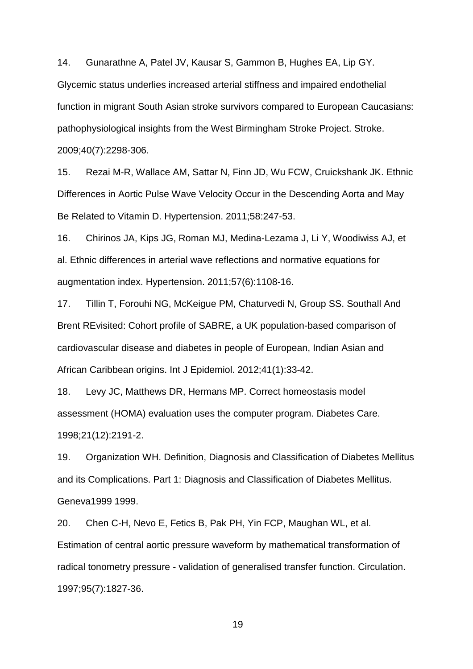14. Gunarathne A, Patel JV, Kausar S, Gammon B, Hughes EA, Lip GY.

Glycemic status underlies increased arterial stiffness and impaired endothelial function in migrant South Asian stroke survivors compared to European Caucasians: pathophysiological insights from the West Birmingham Stroke Project. Stroke. 2009;40(7):2298-306.

15. Rezai M-R, Wallace AM, Sattar N, Finn JD, Wu FCW, Cruickshank JK. Ethnic Differences in Aortic Pulse Wave Velocity Occur in the Descending Aorta and May Be Related to Vitamin D. Hypertension. 2011;58:247-53.

16. Chirinos JA, Kips JG, Roman MJ, Medina-Lezama J, Li Y, Woodiwiss AJ, et al. Ethnic differences in arterial wave reflections and normative equations for augmentation index. Hypertension. 2011;57(6):1108-16.

17. Tillin T, Forouhi NG, McKeigue PM, Chaturvedi N, Group SS. Southall And Brent REvisited: Cohort profile of SABRE, a UK population-based comparison of cardiovascular disease and diabetes in people of European, Indian Asian and African Caribbean origins. Int J Epidemiol. 2012;41(1):33-42.

18. Levy JC, Matthews DR, Hermans MP. Correct homeostasis model assessment (HOMA) evaluation uses the computer program. Diabetes Care. 1998;21(12):2191-2.

19. Organization WH. Definition, Diagnosis and Classification of Diabetes Mellitus and its Complications. Part 1: Diagnosis and Classification of Diabetes Mellitus. Geneva1999 1999.

20. Chen C-H, Nevo E, Fetics B, Pak PH, Yin FCP, Maughan WL, et al. Estimation of central aortic pressure waveform by mathematical transformation of radical tonometry pressure - validation of generalised transfer function. Circulation. 1997;95(7):1827-36.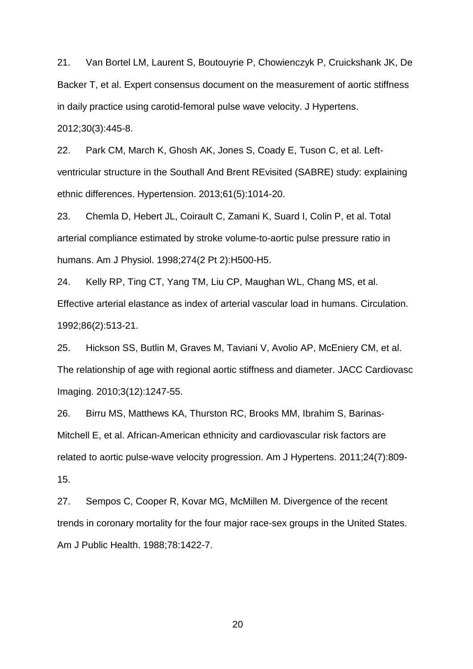21. Van Bortel LM, Laurent S, Boutouyrie P, Chowienczyk P, Cruickshank JK, De Backer T, et al. Expert consensus document on the measurement of aortic stiffness in daily practice using carotid-femoral pulse wave velocity. J Hypertens. 2012;30(3):445-8.

22. Park CM, March K, Ghosh AK, Jones S, Coady E, Tuson C, et al. Leftventricular structure in the Southall And Brent REvisited (SABRE) study: explaining ethnic differences. Hypertension. 2013;61(5):1014-20.

23. Chemla D, Hebert JL, Coirault C, Zamani K, Suard I, Colin P, et al. Total arterial compliance estimated by stroke volume-to-aortic pulse pressure ratio in humans. Am J Physiol. 1998;274(2 Pt 2):H500-H5.

24. Kelly RP, Ting CT, Yang TM, Liu CP, Maughan WL, Chang MS, et al. Effective arterial elastance as index of arterial vascular load in humans. Circulation. 1992;86(2):513-21.

25. Hickson SS, Butlin M, Graves M, Taviani V, Avolio AP, McEniery CM, et al. The relationship of age with regional aortic stiffness and diameter. JACC Cardiovasc Imaging. 2010;3(12):1247-55.

26. Birru MS, Matthews KA, Thurston RC, Brooks MM, Ibrahim S, Barinas-Mitchell E, et al. African-American ethnicity and cardiovascular risk factors are related to aortic pulse-wave velocity progression. Am J Hypertens. 2011;24(7):809- 15.

27. Sempos C, Cooper R, Kovar MG, McMillen M. Divergence of the recent trends in coronary mortality for the four major race-sex groups in the United States. Am J Public Health. 1988;78:1422-7.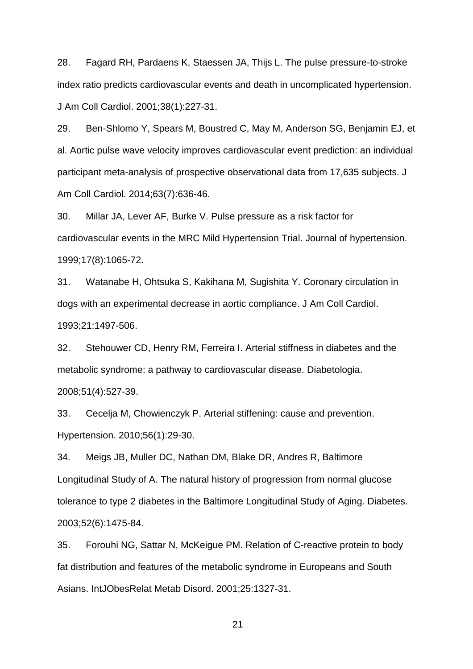28. Fagard RH, Pardaens K, Staessen JA, Thijs L. The pulse pressure-to-stroke index ratio predicts cardiovascular events and death in uncomplicated hypertension. J Am Coll Cardiol. 2001;38(1):227-31.

29. Ben-Shlomo Y, Spears M, Boustred C, May M, Anderson SG, Benjamin EJ, et al. Aortic pulse wave velocity improves cardiovascular event prediction: an individual participant meta-analysis of prospective observational data from 17,635 subjects. J Am Coll Cardiol. 2014;63(7):636-46.

30. Millar JA, Lever AF, Burke V. Pulse pressure as a risk factor for cardiovascular events in the MRC Mild Hypertension Trial. Journal of hypertension. 1999;17(8):1065-72.

31. Watanabe H, Ohtsuka S, Kakihana M, Sugishita Y. Coronary circulation in dogs with an experimental decrease in aortic compliance. J Am Coll Cardiol. 1993;21:1497-506.

32. Stehouwer CD, Henry RM, Ferreira I. Arterial stiffness in diabetes and the metabolic syndrome: a pathway to cardiovascular disease. Diabetologia. 2008;51(4):527-39.

33. Cecelja M, Chowienczyk P. Arterial stiffening: cause and prevention. Hypertension. 2010;56(1):29-30.

34. Meigs JB, Muller DC, Nathan DM, Blake DR, Andres R, Baltimore Longitudinal Study of A. The natural history of progression from normal glucose tolerance to type 2 diabetes in the Baltimore Longitudinal Study of Aging. Diabetes. 2003;52(6):1475-84.

35. Forouhi NG, Sattar N, McKeigue PM. Relation of C-reactive protein to body fat distribution and features of the metabolic syndrome in Europeans and South Asians. IntJObesRelat Metab Disord. 2001;25:1327-31.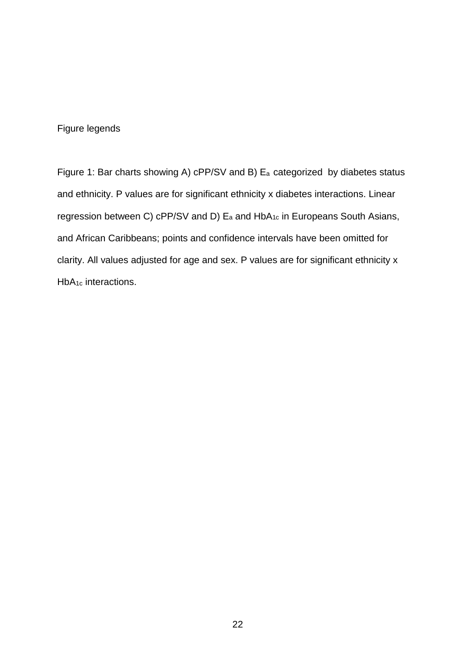# Figure legends

Figure 1: Bar charts showing A) cPP/SV and B) E<sup>a</sup> categorized by diabetes status and ethnicity. P values are for significant ethnicity x diabetes interactions. Linear regression between C) cPP/SV and D) E<sup>a</sup> and HbA1c in Europeans South Asians, and African Caribbeans; points and confidence intervals have been omitted for clarity. All values adjusted for age and sex. P values are for significant ethnicity x HbA<sub>1c</sub> interactions.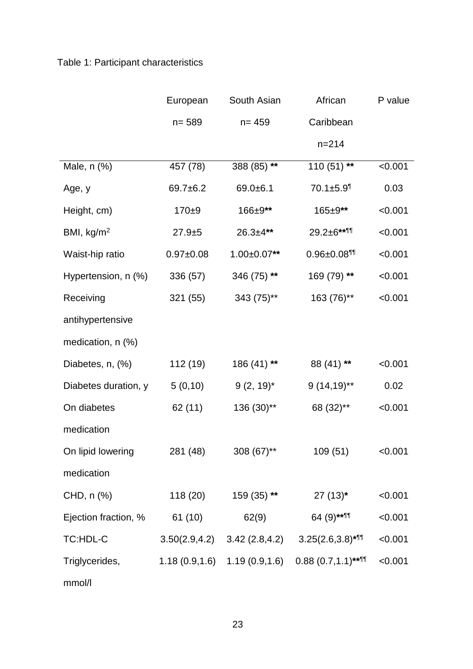# Table 1: Participant characteristics

|                        | European       | South Asian       | African                       | P value |
|------------------------|----------------|-------------------|-------------------------------|---------|
|                        | $n = 589$      | $n = 459$         | Caribbean                     |         |
|                        |                |                   | $n = 214$                     |         |
| Male, n (%)            | 457 (78)       | 388 (85) **       | 110 $(51)$ **                 | < 0.001 |
| Age, y                 | 69.7±6.2       | $69.0 + 6.1$      | $70.1 \pm 5.9$ <sup>1</sup>   | 0.03    |
| Height, cm)            | $170 + 9$      | 166±9**           | 165±9**                       | < 0.001 |
| BMI, $kg/m2$           | $27.9 + 5$     | $26.3 + 4**$      | $29.2 \pm 6**$                | < 0.001 |
| Waist-hip ratio        | $0.97 + 0.08$  | $1.00 \pm 0.07**$ | $0.96 \pm 0.08$ <sup>11</sup> | < 0.001 |
| Hypertension, n (%)    | 336 (57)       | 346 (75) **       | 169 (79) **                   | < 0.001 |
| Receiving              | 321 (55)       | 343 (75)**        | 163 (76)**                    | < 0.001 |
| antihypertensive       |                |                   |                               |         |
| medication, $n$ $(\%)$ |                |                   |                               |         |
| Diabetes, n, (%)       | 112 (19)       | 186 (41) **       | 88 (41) **                    | < 0.001 |
| Diabetes duration, y   | 5(0,10)        | $9(2, 19)^*$      | $9(14,19)$ **                 | 0.02    |
| On diabetes            | 62 (11)        | 136 (30)**        | 68 (32)**                     | < 0.001 |
| medication             |                |                   |                               |         |
| On lipid lowering      | 281 (48)       | $308(67)$ **      | 109 (51)                      | < 0.001 |
| medication             |                |                   |                               |         |
| CHD, n (%)             | 118 (20)       | 159 (35) **       | $27(13)^*$                    | < 0.001 |
| Ejection fraction, %   | 61 (10)        | 62(9)             | 64 (9)****                    | < 0.001 |
| TC:HDL-C               | 3.50(2.9, 4.2) | 3.42(2.8, 4.2)    | $3.25(2.6,3.8)*$              | < 0.001 |
| Triglycerides,         | 1.18(0.9, 1.6) | 1.19(0.9, 1.6)    | $0.88(0.7,1.1)$ **¶           | < 0.001 |
| mmol/l                 |                |                   |                               |         |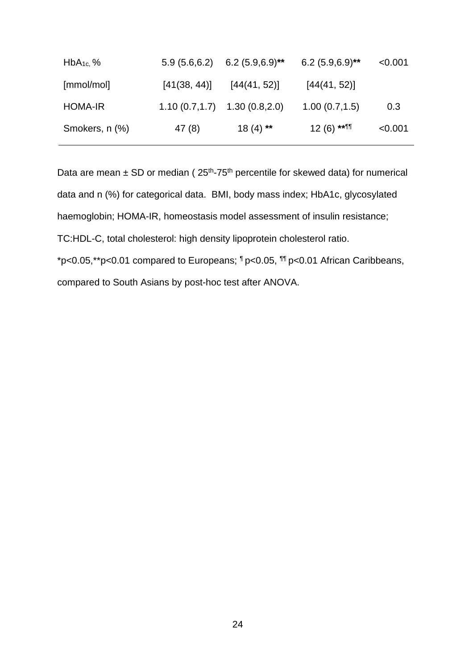| $HbA_{1c}$ , % |              | $5.9(5.6,6.2)$ 6.2 $(5.9,6.9)$ <sup>**</sup> | $6.2(5.9,6.9)$ ** | < 0.001 |
|----------------|--------------|----------------------------------------------|-------------------|---------|
| [mmol/mol]     | [41(38, 44)] | [44(41, 52)]                                 | [44(41, 52)]      |         |
| <b>HOMA-IR</b> |              | $1.10(0.7, 1.7)$ $1.30(0.8, 2.0)$            | 1.00(0.7,1.5)     | 0.3     |
| Smokers, n (%) | 47 (8)       | $18(4)$ **                                   | $12(6)$ ** 11     | < 0.001 |

Data are mean  $\pm$  SD or median ( $25<sup>th</sup>$ -75<sup>th</sup> percentile for skewed data) for numerical data and n (%) for categorical data. BMI, body mass index; HbA1c, glycosylated haemoglobin; HOMA-IR, homeostasis model assessment of insulin resistance; TC:HDL-C, total cholesterol: high density lipoprotein cholesterol ratio. \*p<0.05,\*\*p<0.01 compared to Europeans; ¶ p<0.05, ¶¶ p<0.01 African Caribbeans, compared to South Asians by post-hoc test after ANOVA.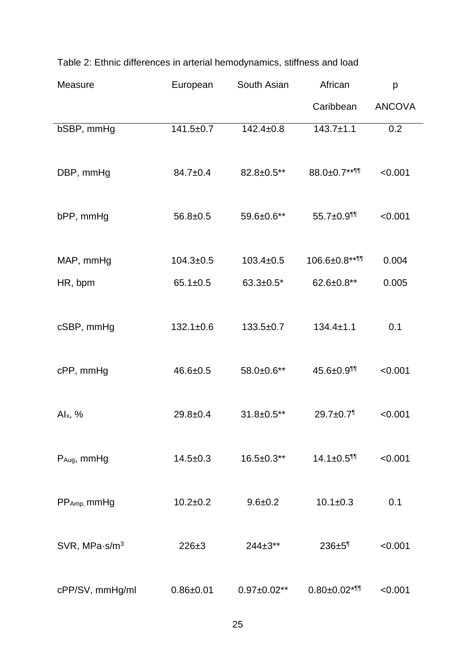| Measure                  | European        | South Asian        | African                         | р             |
|--------------------------|-----------------|--------------------|---------------------------------|---------------|
|                          |                 |                    | Caribbean                       | <b>ANCOVA</b> |
| bSBP, mmHg               | $141.5 \pm 0.7$ | $142.4 \pm 0.8$    | $143.7 \pm 1.1$                 | 0.2           |
|                          |                 |                    |                                 |               |
| DBP, mmHg                | $84.7 \pm 0.4$  | 82.8±0.5**         | 88.0±0.7**11                    | < 0.001       |
|                          |                 |                    |                                 |               |
| bPP, mmHg                | $56.8 + 0.5$    | 59.6±0.6**         | $55.7 \pm 0.9$ <sup>11</sup>    | < 0.001       |
|                          |                 |                    |                                 |               |
| MAP, mmHg                | $104.3 \pm 0.5$ | $103.4 \pm 0.5$    | 106.6±0.8**¶                    | 0.004         |
| HR, bpm                  | $65.1 \pm 0.5$  | $63.3 \pm 0.5^*$   | $62.6 \pm 0.8**$                | 0.005         |
|                          |                 |                    |                                 |               |
| cSBP, mmHg               | $132.1 \pm 0.6$ | $133.5+0.7$        | $134.4 \pm 1.1$                 | 0.1           |
|                          |                 |                    |                                 |               |
| cPP, mmHg                | $46.6 \pm 0.5$  | 58.0±0.6**         | $45.6 \pm 0.9$ <sup>11</sup>    | < 0.001       |
|                          |                 |                    |                                 |               |
| Alx, $%$                 | $29.8 + 0.4$    | 31.8±0.5**         | $29.7 \pm 0.7$ <sup>1</sup>     | < 0.001       |
|                          |                 |                    |                                 |               |
| P <sub>Aug</sub> , mmHg  | $14.5 \pm 0.3$  | $16.5 \pm 0.3**$   | $14.1 \pm 0.5$ <sup>11</sup>    | < 0.001       |
|                          |                 |                    |                                 |               |
| $PP_{Amp}$ , mmHg        | $10.2 + 0.2$    | $9.6 + 0.2$        | $10.1 \pm 0.3$                  | 0.1           |
|                          |                 |                    |                                 |               |
| SVR, MPa $\cdot$ s/m $3$ | $226 \pm 3$     | $244 \pm 3**$      | 236±5 <sup>1</sup>              | < 0.001       |
|                          |                 |                    |                                 |               |
| cPP/SV, mmHg/ml          | $0.86 + 0.01$   | $0.97 \pm 0.02$ ** | $0.80 \pm 0.02$ * <sup>11</sup> | < 0.001       |

# Table 2: Ethnic differences in arterial hemodynamics, stiffness and load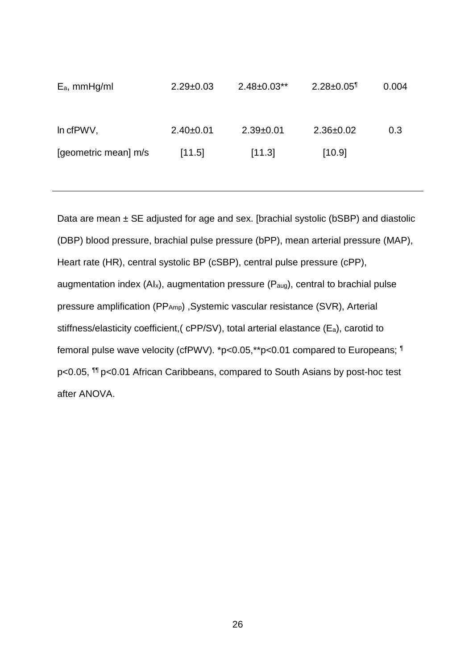| $E_a$ , mmHg/ml      | $2.29 \pm 0.03$ | $2.48 \pm 0.03**$ | $2.28 \pm 0.05$ <sup>1</sup> | 0.004 |
|----------------------|-----------------|-------------------|------------------------------|-------|
| In cfPWV,            | $2.40 \pm 0.01$ | $2.39+0.01$       | $2.36 \pm 0.02$              | 0.3   |
| [geometric mean] m/s | [11.5]          | [11.3]            | [10.9]                       |       |

Data are mean  $\pm$  SE adjusted for age and sex. [brachial systolic (bSBP) and diastolic (DBP) blood pressure, brachial pulse pressure (bPP), mean arterial pressure (MAP), Heart rate (HR), central systolic BP (cSBP), central pulse pressure (cPP), augmentation index  $(Al_x)$ , augmentation pressure  $(P_{aug})$ , central to brachial pulse pressure amplification (PPAmp), Systemic vascular resistance (SVR), Arterial stiffness/elasticity coefficient,( cPP/SV), total arterial elastance (Ea), carotid to femoral pulse wave velocity (cfPWV). \*p<0.05,\*\*p<0.01 compared to Europeans; ¶ p<0.05, ¶¶ p<0.01 African Caribbeans, compared to South Asians by post-hoc test after ANOVA.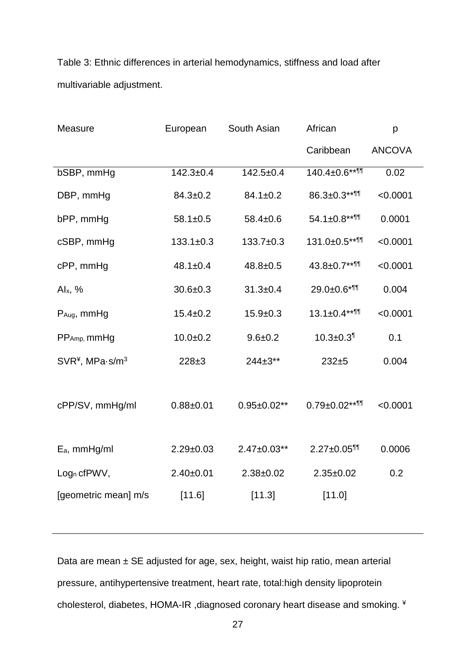Table 3: Ethnic differences in arterial hemodynamics, stiffness and load after multivariable adjustment.

| Measure                  | European        | South Asian        | African                         | p             |
|--------------------------|-----------------|--------------------|---------------------------------|---------------|
|                          |                 |                    | Caribbean                       | <b>ANCOVA</b> |
| bSBP, mmHg               | $142.3 + 0.4$   | $142.5 + 0.4$      | 140.4±0.6**¶                    | 0.02          |
| DBP, mmHg                | $84.3 \pm 0.2$  | $84.1 \pm 0.2$     | $86.3 \pm 0.3$ ** $\P$          | < 0.0001      |
| bPP, mmHg                | $58.1 \pm 0.5$  | $58.4 \pm 0.6$     | $54.1 \pm 0.8***$               | 0.0001        |
| cSBP, mmHg               | $133.1 \pm 0.3$ | $133.7+0.3$        | 131.0±0.5**11                   | < 0.0001      |
| cPP, mmHg                | $48.1 \pm 0.4$  | $48.8 \pm 0.5$     | $43.8 \pm 0.7***$               | < 0.0001      |
| Alx, $%$                 | $30.6 \pm 0.3$  | $31.3 + 0.4$       | $29.0 \pm 0.6$ * <sup>11</sup>  | 0.004         |
| P <sub>Aug</sub> , mmHg  | $15.4 \pm 0.2$  | $15.9 + 0.3$       | $13.1 \pm 0.4***$ <sup>11</sup> | < 0.0001      |
| PP <sub>Amp</sub> , mmHg | $10.0 + 0.2$    | $9.6 + 0.2$        | $10.3 + 0.3$ <sup>1</sup>       | 0.1           |
| $SVR*$ , MPa $s/m3$      | $228 + 3$       | $244 \pm 3**$      | $232 + 5$                       | 0.004         |
|                          |                 |                    |                                 |               |
| cPP/SV, mmHg/ml          | $0.88 + 0.01$   | $0.95 \pm 0.02$ ** | $0.79 \pm 0.02$ **              | < 0.0001      |
|                          |                 |                    |                                 |               |
| E <sub>a</sub> , mmHg/ml | $2.29 \pm 0.03$ | $2.47 \pm 0.03$ ** | $2.27 \pm 0.05$ <sup>11</sup>   | 0.0006        |
| Log <sub>n</sub> cfPWV,  | $2.40+0.01$     | $2.38 + 0.02$      | $2.35 \pm 0.02$                 | 0.2           |
| [geometric mean] m/s     | [11.6]          | [11.3]             | [11.0]                          |               |
|                          |                 |                    |                                 |               |

Data are mean  $\pm$  SE adjusted for age, sex, height, waist hip ratio, mean arterial pressure, antihypertensive treatment, heart rate, total:high density lipoprotein cholesterol, diabetes, HOMA-IR ,diagnosed coronary heart disease and smoking. ¥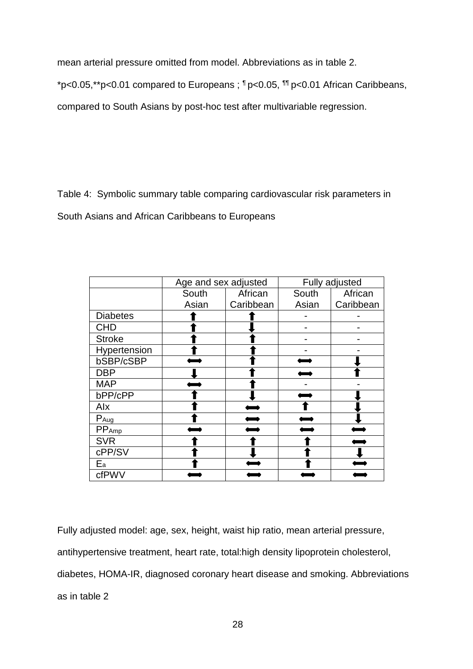mean arterial pressure omitted from model. Abbreviations as in table 2.

\*p<0.05,\*\*p<0.01 compared to Europeans ; ¶ p<0.05, ¶¶ p<0.01 African Caribbeans,

compared to South Asians by post-hoc test after multivariable regression.

Table 4: Symbolic summary table comparing cardiovascular risk parameters in South Asians and African Caribbeans to Europeans

|                   | Age and sex adjusted |           | Fully adjusted |           |
|-------------------|----------------------|-----------|----------------|-----------|
|                   | South                | African   | South          | African   |
|                   | Asian                | Caribbean | Asian          | Caribbean |
| <b>Diabetes</b>   |                      |           |                |           |
| <b>CHD</b>        |                      |           |                |           |
| <b>Stroke</b>     |                      |           |                |           |
| Hypertension      |                      |           |                |           |
| bSBP/cSBP         |                      |           |                |           |
| <b>DBP</b>        |                      |           |                |           |
| <b>MAP</b>        |                      |           |                |           |
| bPP/cPP           |                      |           |                |           |
| Alx               |                      |           |                |           |
| P <sub>Aug</sub>  |                      |           |                |           |
| PP <sub>Amp</sub> |                      |           |                |           |
| <b>SVR</b>        |                      |           |                |           |
| cPP/SV            |                      |           |                |           |
| $E_{a}$           |                      |           |                |           |
| cfPWV             |                      |           |                |           |

Fully adjusted model: age, sex, height, waist hip ratio, mean arterial pressure, antihypertensive treatment, heart rate, total:high density lipoprotein cholesterol, diabetes, HOMA-IR, diagnosed coronary heart disease and smoking. Abbreviations as in table 2